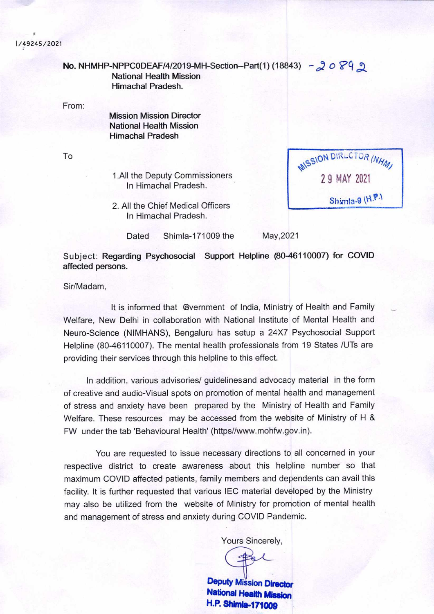## **1/49245/2021**

**No. NHMHP-NPPCODEAF/4/2019-MH-Section--Part(1) (18843) - 2 0 8 9 9** National Health Mission Himachal Pradesh. From: Mission Mission Director National Health Mission Himachal Pradesh To MISSION DIRECTOR (NHM)

1.All the Deputy Commissioners In Himachal Pradesh.

2. All the Chief Medical Officers In Himachal Pradesh.

Dated Shimla-171009 the May, 2021

2 9 MAY 2021

Shimla-9 (H.P.)

**Subject: Regarding Psychosocial Support Helpline (80-46110007) for COVID**  affected persons.

Sir/Madam,

It is informed that Gvernment of India, Ministry of Health and Family Welfare, New Delhi in collaboration with National Institute of Mental Health and Neuro-Science (NIMHANS), Bengaluru has setup a 24X7 Psychosocial Support Helpline (80-46110007). The mental health professionals from 19 States /UTs are providing their services through this helpline to this effect.

In addition, various advisories/ guidelinesand advocacy material in the form of creative and audio-Visual spots on promotion of mental health and management of stress and anxiety have been prepared by the Ministry of Health and Family Welfare. These resources may be accessed from the website of Ministry of H & FW under the tab 'Behavioural Health' (https//www.mohfw.gov.in).

You are requested to issue necessary directions to all concerned in your respective district to create awareness about this helpline number so that maximum COVID affected patients, family members and dependents can avail this facility. It is further requested that various IEC material developed by the Ministry may also be utilized from the website of Ministry for promotion of mental health and management of stress and anxiety during COVID Pandemic.

Yours Sincerely,

**Deputy Mission Director National Health Mission H.P. Shirnh..171009**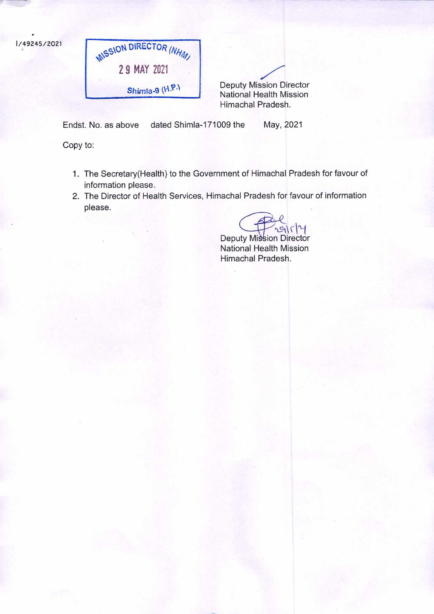

**Shimla-9 (H.P.)** Deputy Mission Director National Health Mission Himachal Pradesh.

Endst. No. as above dated Shimla-171009 the May, 2021

Copy to:

- 1. The Secretary(Health) to the Government of Himachal Pradesh for favour of information please.
- 2. The Director of Health Services, Himachal Pradesh for favour of information please.

 $9114$ 

Deputy Mission Director National Health Mission Himachal Pradesh.